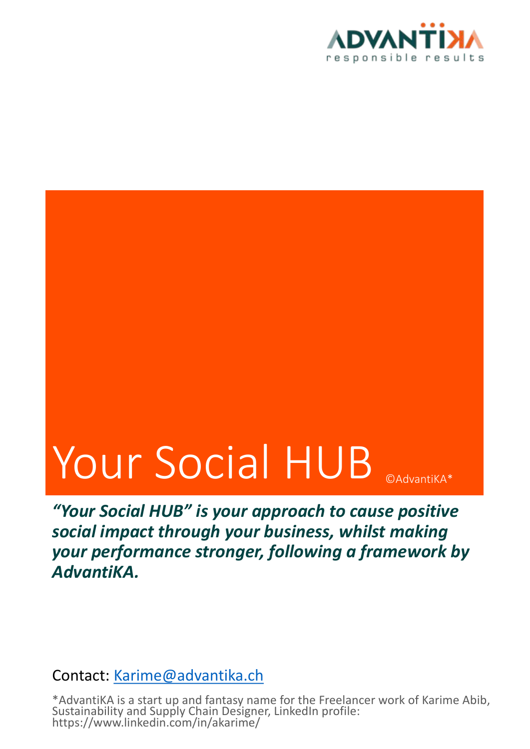

# Your Social HUB

"Your Social HUB" is your approach to cause positive social impact through your business, whilst making *your performance stronger, following a framework by AdvantiKA.*

### Contact: Karime@advantika.ch

\*AdvantiKA is a start up and fantasy name for the Freelancer work of Karime Abib, Sustainability and Supply Chain Designer, LinkedIn profile:<br>https://www.linkedin.com/in/akarime/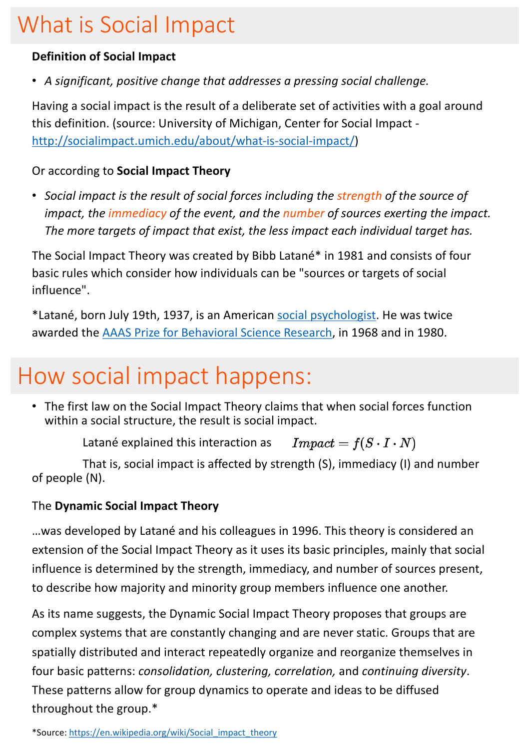# What is Social Impact

#### **Definition of Social Impact**

• A significant, positive change that addresses a pressing social challenge.

Having a social impact is the result of a deliberate set of activities with a goal around this definition. (source: University of Michigan, Center for Social Impact http://socialimpact.umich.edu/about/what-is-social-impact/) 

#### Or according to **Social Impact Theory**

• Social impact is the result of social forces including the strength of the source of *impact, the immediacy of the event, and the number of sources exerting the impact.* The more targets of impact that exist, the less impact each individual target has.

The Social Impact Theory was created by Bibb Latané\* in 1981 and consists of four basic rules which consider how individuals can be "sources or targets of social influence".

\*Latané, born July 19th, 1937, is an American social psychologist. He was twice awarded the AAAS Prize for Behavioral Science Research, in 1968 and in 1980.

# How social impact happens:

• The first law on the Social Impact Theory claims that when social forces function within a social structure, the result is social impact.

> $Impack = f(S \cdot I \cdot N)$ Latané explained this interaction as

That is, social impact is affected by strength (S), immediacy (I) and number of people  $(N)$ .

#### The **Dynamic Social Impact Theory**

... was developed by Latané and his colleagues in 1996. This theory is considered an extension of the Social Impact Theory as it uses its basic principles, mainly that social influence is determined by the strength, immediacy, and number of sources present, to describe how majority and minority group members influence one another.

As its name suggests, the Dynamic Social Impact Theory proposes that groups are complex systems that are constantly changing and are never static. Groups that are spatially distributed and interact repeatedly organize and reorganize themselves in four basic patterns: *consolidation, clustering, correlation,* and *continuing diversity*. These patterns allow for group dynamics to operate and ideas to be diffused throughout the group. $*$ 

\*Source: https://en.wikipedia.org/wiki/Social\_impact\_theory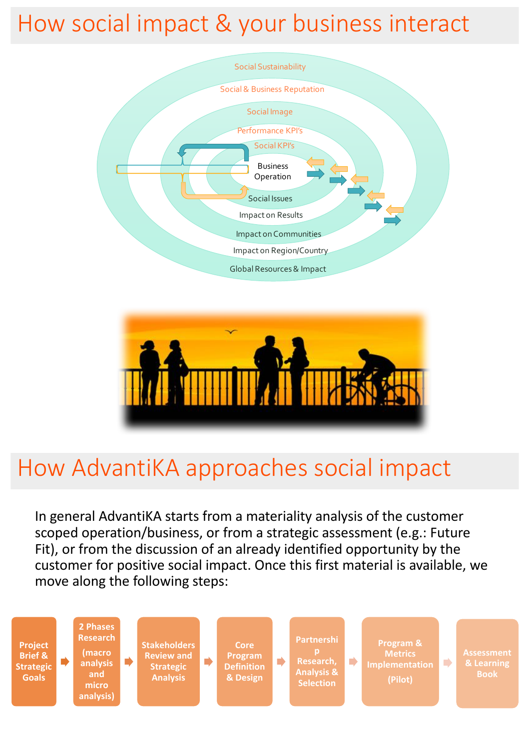# How social impact & your business interact





## How AdvantiKA approaches social impact

In general AdvantiKA starts from a materiality analysis of the customer scoped operation/business, or from a strategic assessment (e.g.: Future Fit), or from the discussion of an already identified opportunity by the customer for positive social impact. Once this first material is available, we move along the following steps:

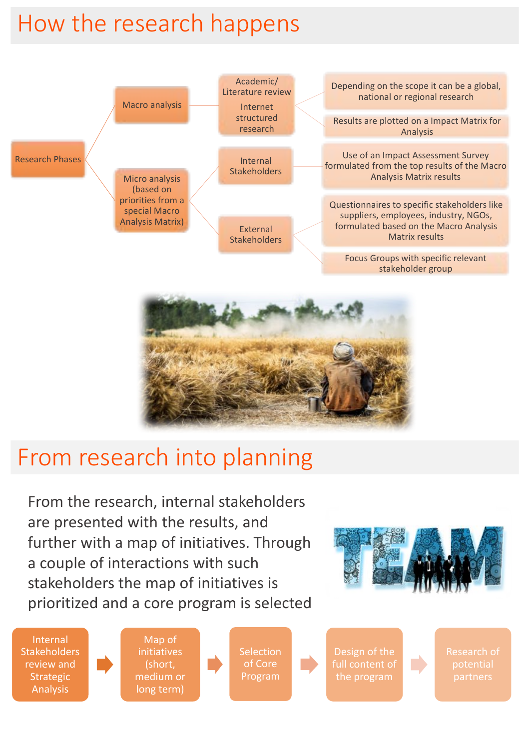# How the research happens



## From research into planning

From the research, internal stakeholders are presented with the results, and further with a map of initiatives. Through a couple of interactions with such stakeholders the map of initiatives is prioritized and a core program is selected



Internal **Stakeholders** review and **Strategic** Analysis

Map of initiatives (short, medium or long term)

Selection of Core Program

Design of the full content of the program

Research of partners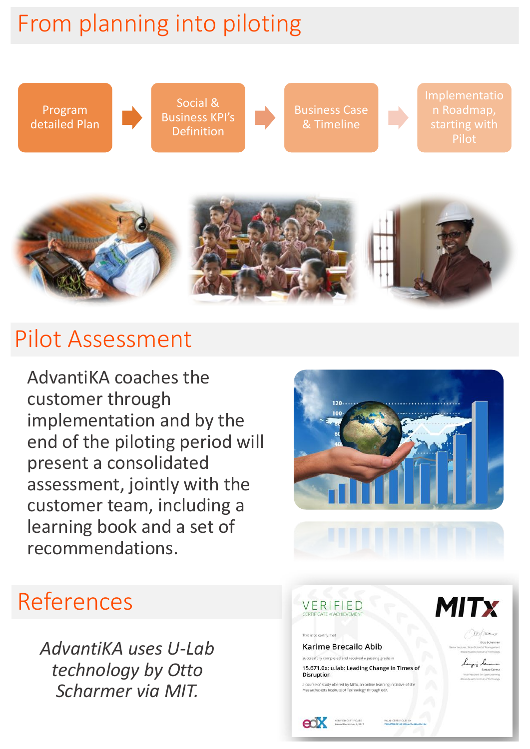# From planning into piloting

Program detailed Plan

Social & Business KPI's Definition

**Business Case** & Timeline 

Implementatio n Roadmap, starting with Pilot 



## Pilot Assessment

AdvantiKA coaches the customer through implementation and by the end of the piloting period will present a consolidated assessment, jointly with the customer team, including a learning book and a set of recommendations.



## References

*AdvantiKA uses U-Lab*  technology by Otto *Scharmer via MIT.*

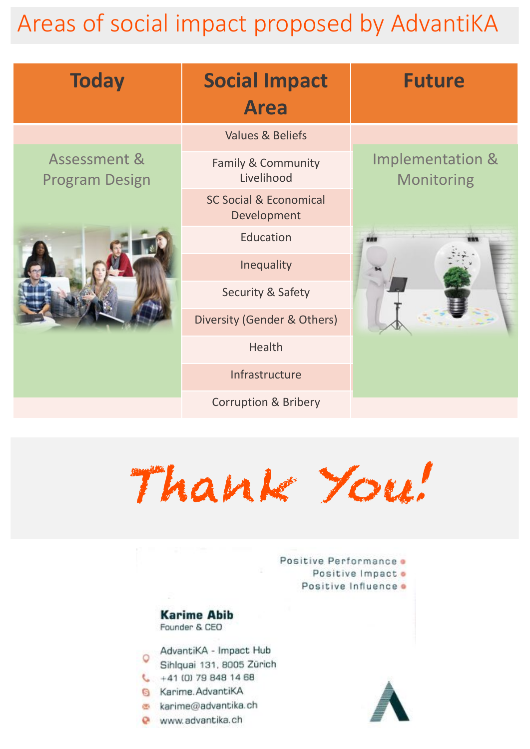# Areas of social impact proposed by AdvantiKA

| <b>Today</b>                                     | <b>Social Impact</b><br><b>Area</b>              | <b>Future</b>                             |
|--------------------------------------------------|--------------------------------------------------|-------------------------------------------|
|                                                  | <b>Values &amp; Beliefs</b>                      |                                           |
| <b>Assessment &amp;</b><br><b>Program Design</b> | <b>Family &amp; Community</b><br>Livelihood      | <b>Implementation &amp;</b><br>Monitoring |
|                                                  | <b>SC Social &amp; Economical</b><br>Development |                                           |
|                                                  | Education                                        |                                           |
|                                                  | Inequality                                       |                                           |
|                                                  | <b>Security &amp; Safety</b>                     |                                           |
|                                                  | <b>Diversity (Gender &amp; Others)</b>           |                                           |
|                                                  | Health                                           |                                           |
|                                                  | Infrastructure                                   |                                           |
|                                                  | <b>Corruption &amp; Bribery</b>                  |                                           |
|                                                  |                                                  |                                           |

Thank You!

Positive Performance . Positive Impact . Positive Influence .

#### **Karime Abib** Founder & CEO

AdvantikA - Impact Hub

- Sihlquai 131, 8005 Zürich
- $-41(0)$  79 848 14 68
- **B** Karime. AdvantiKA
- & karime@advantika.ch
- www.advantika.ch